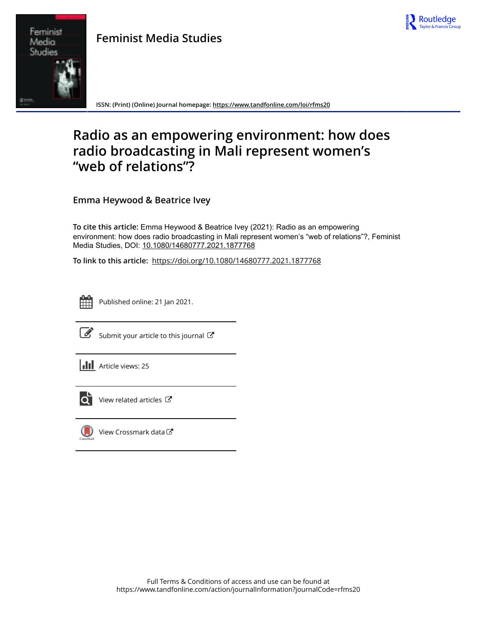

# **Feminist Media Studies**



**ISSN: (Print) (Online) Journal homepage:<https://www.tandfonline.com/loi/rfms20>**

# **Radio as an empowering environment: how does radio broadcasting in Mali represent women's "web of relations"?**

**Emma Heywood & Beatrice Ivey**

**To cite this article:** Emma Heywood & Beatrice Ivey (2021): Radio as an empowering environment: how does radio broadcasting in Mali represent women's "web of relations"?, Feminist Media Studies, DOI: [10.1080/14680777.2021.1877768](https://www.tandfonline.com/action/showCitFormats?doi=10.1080/14680777.2021.1877768)

**To link to this article:** <https://doi.org/10.1080/14680777.2021.1877768>



Published online: 21 Jan 2021.



 $\overrightarrow{S}$  [Submit your article to this journal](https://www.tandfonline.com/action/authorSubmission?journalCode=rfms20&show=instructions)  $\overrightarrow{S}$ 





 $\overline{\mathbf{C}}$  [View related articles](https://www.tandfonline.com/doi/mlt/10.1080/14680777.2021.1877768)  $\mathbf{C}$ 



[View Crossmark data](http://crossmark.crossref.org/dialog/?doi=10.1080/14680777.2021.1877768&domain=pdf&date_stamp=2021-01-21)<sup>で</sup>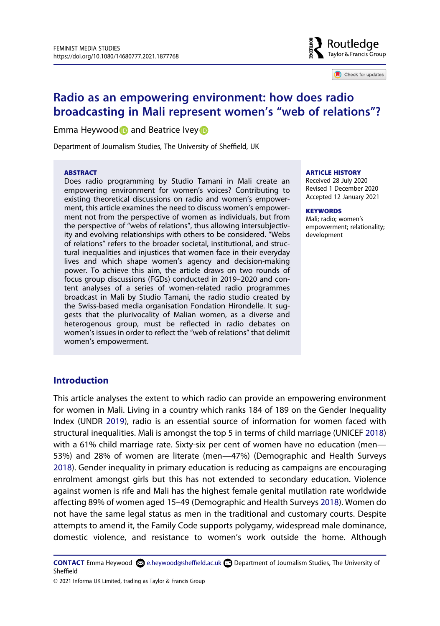

Check for updates

## **Radio as an empowering environment: how does radio broadcasting in Mali represent women's "web of relations"?**

Emma Heywood and Beatrice Ivey

Department of Journalism Studies, The University of Sheffield, UK

#### **ABSTRACT**

Does radio programming by Studio Tamani in Mali create an empowering environment for women's voices? Contributing to existing theoretical discussions on radio and women's empowerment, this article examines the need to discuss women's empowerment not from the perspective of women as individuals, but from the perspective of "webs of relations", thus allowing intersubjectivity and evolving relationships with others to be considered. "Webs of relations" refers to the broader societal, institutional, and structural inequalities and injustices that women face in their everyday lives and which shape women's agency and decision-making power. To achieve this aim, the article draws on two rounds of focus group discussions (FGDs) conducted in 2019–2020 and content analyses of a series of women-related radio programmes broadcast in Mali by Studio Tamani, the radio studio created by the Swiss-based media organisation Fondation Hirondelle. It suggests that the plurivocality of Malian women, as a diverse and heterogenous group, must be reflected in radio debates on women's issues in order to reflect the "web of relations" that delimit women's empowerment.

#### **ARTICLE HISTORY**

Received 28 July 2020 Revised 1 December 2020 Accepted 12 January 2021

#### **KEYWORDS**

Mali; radio; women's empowerment; relationality; development

## **Introduction**

<span id="page-1-2"></span><span id="page-1-1"></span>This article analyses the extent to which radio can provide an empowering environment for women in Mali. Living in a country which ranks 184 of 189 on the Gender Inequality Index (UNDR [2019\)](#page-16-0), radio is an essential source of information for women faced with structural inequalities. Mali is amongst the top 5 in terms of child marriage (UNICEF [2018](#page-16-1)) with a 61% child marriage rate. Sixty-six per cent of women have no education (men— 53%) and 28% of women are literate (men—47%) (Demographic and Health Surveys [2018\)](#page-15-0). Gender inequality in primary education is reducing as campaigns are encouraging enrolment amongst girls but this has not extended to secondary education. Violence against women is rife and Mali has the highest female genital mutilation rate worldwide affecting 89% of women aged 15–49 (Demographic and Health Surveys [2018](#page-15-0)). Women do not have the same legal status as men in the traditional and customary courts. Despite attempts to amend it, the Family Code supports polygamy, widespread male dominance, domestic violence, and resistance to women's work outside the home. Although

<span id="page-1-0"></span>**CONTACT** Emma Heywood  $\Omega$  e.heywood@sheffield.ac.uk **Department of Journalism Studies, The University of** Sheffield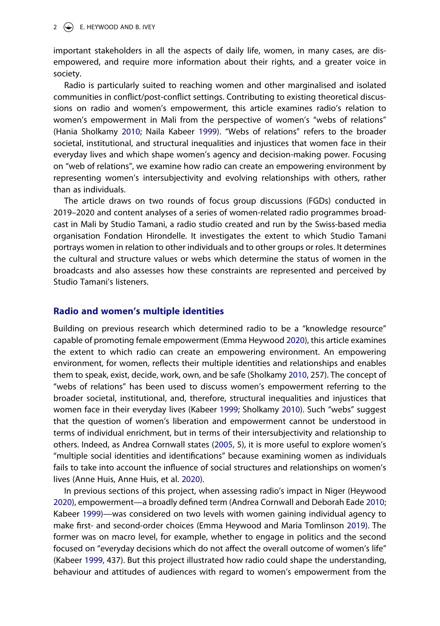#### 2  $\left(\frac{1}{2}\right)$  E. HEYWOOD AND B. IVEY

important stakeholders in all the aspects of daily life, women, in many cases, are disempowered, and require more information about their rights, and a greater voice in society.

Radio is particularly suited to reaching women and other marginalised and isolated communities in conflict/post-conflict settings. Contributing to existing theoretical discussions on radio and women's empowerment, this article examines radio's relation to women's empowerment in Mali from the perspective of women's "webs of relations" (Hania Sholkamy [2010](#page-16-2); Naila Kabeer [1999](#page-16-3)). "Webs of relations" refers to the broader societal, institutional, and structural inequalities and injustices that women face in their everyday lives and which shape women's agency and decision-making power. Focusing on "web of relations", we examine how radio can create an empowering environment by representing women's intersubjectivity and evolving relationships with others, rather than as individuals.

The article draws on two rounds of focus group discussions (FGDs) conducted in 2019–2020 and content analyses of a series of women-related radio programmes broadcast in Mali by Studio Tamani, a radio studio created and run by the Swiss-based media organisation Fondation Hirondelle. It investigates the extent to which Studio Tamani portrays women in relation to other individuals and to other groups or roles. It determines the cultural and structure values or webs which determine the status of women in the broadcasts and also assesses how these constraints are represented and perceived by Studio Tamani's listeners.

### **Radio and women's multiple identities**

<span id="page-2-6"></span>Building on previous research which determined radio to be a "knowledge resource" capable of promoting female empowerment (Emma Heywood [2020\)](#page-16-4), this article examines the extent to which radio can create an empowering environment. An empowering environment, for women, reflects their multiple identities and relationships and enables them to speak, exist, decide, work, own, and be safe (Sholkamy [2010](#page-16-2), 257). The concept of "webs of relations" has been used to discuss women's empowerment referring to the broader societal, institutional, and, therefore, structural inequalities and injustices that women face in their everyday lives (Kabeer [1999;](#page-16-3) Sholkamy [2010\)](#page-16-2). Such "webs" suggest that the question of women's liberation and empowerment cannot be understood in terms of individual enrichment, but in terms of their intersubjectivity and relationship to others. Indeed, as Andrea Cornwall states [\(2005,](#page-15-1) 5), it is more useful to explore women's "multiple social identities and identifications" because examining women as individuals fails to take into account the influence of social structures and relationships on women's lives (Anne Huis, Anne Huis, et al. [2020](#page-16-5)).

<span id="page-2-5"></span><span id="page-2-4"></span><span id="page-2-3"></span><span id="page-2-2"></span><span id="page-2-1"></span><span id="page-2-0"></span>In previous sections of this project, when assessing radio's impact in Niger (Heywood [2020\)](#page-16-4), empowerment—a broadly defined term (Andrea Cornwall and Deborah Eade [2010](#page-15-2); Kabeer [1999\)](#page-16-3)—was considered on two levels with women gaining individual agency to make first- and second-order choices (Emma Heywood and Maria Tomlinson [2019\)](#page-16-6). The former was on macro level, for example, whether to engage in politics and the second focused on "everyday decisions which do not affect the overall outcome of women's life" (Kabeer [1999](#page-16-3), 437). But this project illustrated how radio could shape the understanding, behaviour and attitudes of audiences with regard to women's empowerment from the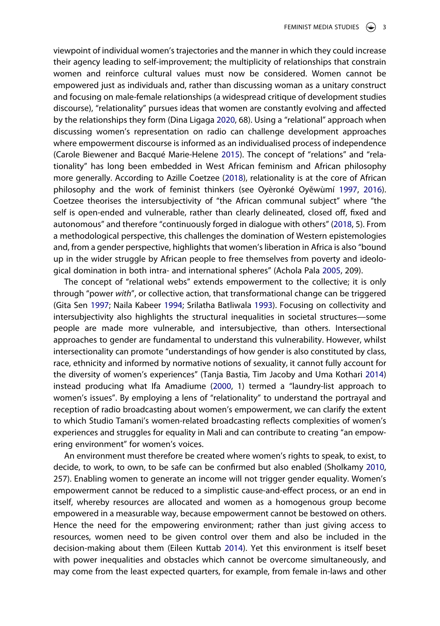<span id="page-3-6"></span><span id="page-3-3"></span>viewpoint of individual women's trajectories and the manner in which they could increase their agency leading to self-improvement; the multiplicity of relationships that constrain women and reinforce cultural values must now be considered. Women cannot be empowered just as individuals and, rather than discussing woman as a unitary construct and focusing on male-female relationships (a widespread critique of development studies discourse), "relationality" pursues ideas that women are constantly evolving and affected by the relationships they form (Dina Ligaga [2020,](#page-16-7) 68). Using a "relational" approach when discussing women's representation on radio can challenge development approaches where empowerment discourse is informed as an individualised process of independence (Carole Biewener and Bacqué Marie-Helene [2015\)](#page-15-3). The concept of "relations" and "relationality" has long been embedded in West African feminism and African philosophy more generally. According to Azille Coetzee [\(2018\)](#page-15-4), relationality is at the core of African philosophy and the work of feminist thinkers (see Oyèronké Oyĕwùmí [1997,](#page-16-8) [2016](#page-16-9)). Coetzee theorises the intersubjectivity of "the African communal subject" where "the self is open-ended and vulnerable, rather than clearly delineated, closed off, fixed and autonomous" and therefore "continuously forged in dialogue with others" [\(2018,](#page-15-4) 5). From a methodological perspective, this challenges the domination of Western epistemologies and, from a gender perspective, highlights that women's liberation in Africa is also "bound up in the wider struggle by African people to free themselves from poverty and ideological domination in both intra- and international spheres" (Achola Pala [2005,](#page-16-10) 209).

<span id="page-3-8"></span><span id="page-3-7"></span><span id="page-3-4"></span><span id="page-3-2"></span>The concept of "relational webs" extends empowerment to the collective; it is only through "power *with*", or collective action, that transformational change can be triggered (Gita Sen [1997](#page-16-11); Naila Kabeer [1994](#page-16-12); Srilatha Batliwala [1993\)](#page-15-5). Focusing on collectivity and intersubjectivity also highlights the structural inequalities in societal structures—some people are made more vulnerable, and intersubjective, than others. Intersectional approaches to gender are fundamental to understand this vulnerability. However, whilst intersectionality can promote "understandings of how gender is also constituted by class, race, ethnicity and informed by normative notions of sexuality, it cannot fully account for the diversity of women's experiences" (Tanja Bastia, Tim Jacoby and Uma Kothari [2014](#page-15-6)) instead producing what Ifa Amadiume ([2000](#page-15-7), 1) termed a "laundry-list approach to women's issues". By employing a lens of "relationality" to understand the portrayal and reception of radio broadcasting about women's empowerment, we can clarify the extent to which Studio Tamani's women-related broadcasting reflects complexities of women's experiences and struggles for equality in Mali and can contribute to creating "an empowering environment" for women's voices.

<span id="page-3-5"></span><span id="page-3-1"></span><span id="page-3-0"></span>An environment must therefore be created where women's rights to speak, to exist, to decide, to work, to own, to be safe can be confirmed but also enabled (Sholkamy [2010](#page-16-2), 257). Enabling women to generate an income will not trigger gender equality. Women's empowerment cannot be reduced to a simplistic cause-and-effect process, or an end in itself, whereby resources are allocated and women as a homogenous group become empowered in a measurable way, because empowerment cannot be bestowed on others. Hence the need for the empowering environment; rather than just giving access to resources, women need to be given control over them and also be included in the decision-making about them (Eileen Kuttab [2014](#page-16-13)). Yet this environment is itself beset with power inequalities and obstacles which cannot be overcome simultaneously, and may come from the least expected quarters, for example, from female in-laws and other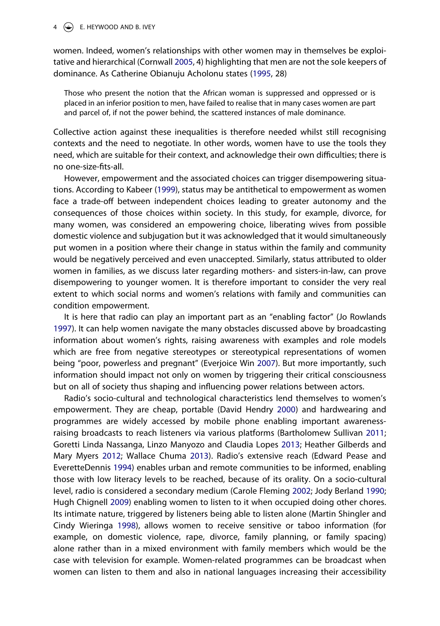#### $4 \quad \circledast$  E. HEYWOOD AND B. IVEY

<span id="page-4-0"></span>women. Indeed, women's relationships with other women may in themselves be exploitative and hierarchical (Cornwall [2005](#page-15-1), 4) highlighting that men are not the sole keepers of dominance. As Catherine Obianuju Acholonu states [\(1995,](#page-15-8) 28)

Those who present the notion that the African woman is suppressed and oppressed or is placed in an inferior position to men, have failed to realise that in many cases women are part and parcel of, if not the power behind, the scattered instances of male dominance.

Collective action against these inequalities is therefore needed whilst still recognising contexts and the need to negotiate. In other words, women have to use the tools they need, which are suitable for their context, and acknowledge their own difficulties; there is no one-size-fits-all.

However, empowerment and the associated choices can trigger disempowering situations. According to Kabeer [\(1999\)](#page-16-3), status may be antithetical to empowerment as women face a trade-off between independent choices leading to greater autonomy and the consequences of those choices within society. In this study, for example, divorce, for many women, was considered an empowering choice, liberating wives from possible domestic violence and subjugation but it was acknowledged that it would simultaneously put women in a position where their change in status within the family and community would be negatively perceived and even unaccepted. Similarly, status attributed to older women in families, as we discuss later regarding mothers- and sisters-in-law, can prove disempowering to younger women. It is therefore important to consider the very real extent to which social norms and women's relations with family and communities can condition empowerment.

<span id="page-4-7"></span>It is here that radio can play an important part as an "enabling factor" (Jo Rowlands [1997\)](#page-16-14). It can help women navigate the many obstacles discussed above by broadcasting information about women's rights, raising awareness with examples and role models which are free from negative stereotypes or stereotypical representations of women being "poor, powerless and pregnant" (Everjoice Win [2007\)](#page-17-0). But more importantly, such information should impact not only on women by triggering their critical consciousness but on all of society thus shaping and influencing power relations between actors.

<span id="page-4-10"></span><span id="page-4-9"></span><span id="page-4-8"></span><span id="page-4-6"></span><span id="page-4-5"></span><span id="page-4-4"></span><span id="page-4-3"></span><span id="page-4-2"></span><span id="page-4-1"></span>Radio's socio-cultural and technological characteristics lend themselves to women's empowerment. They are cheap, portable (David Hendry [2000](#page-15-9)) and hardwearing and programmes are widely accessed by mobile phone enabling important awarenessraising broadcasts to reach listeners via various platforms (Bartholomew Sullivan [2011](#page-16-15); Goretti Linda Nassanga, Linzo Manyozo and Claudia Lopes [2013](#page-16-16); Heather Gilberds and Mary Myers [2012](#page-15-10); Wallace Chuma [2013\)](#page-15-11). Radio's extensive reach (Edward Pease and EveretteDennis [1994\)](#page-16-17) enables urban and remote communities to be informed, enabling those with low literacy levels to be reached, because of its orality. On a socio-cultural level, radio is considered a secondary medium (Carole Fleming [2002](#page-15-12); Jody Berland [1990](#page-15-13); Hugh Chignell [2009](#page-15-14)) enabling women to listen to it when occupied doing other chores. Its intimate nature, triggered by listeners being able to listen alone (Martin Shingler and Cindy Wieringa [1998](#page-16-18)), allows women to receive sensitive or taboo information (for example, on domestic violence, rape, divorce, family planning, or family spacing) alone rather than in a mixed environment with family members which would be the case with television for example. Women-related programmes can be broadcast when women can listen to them and also in national languages increasing their accessibility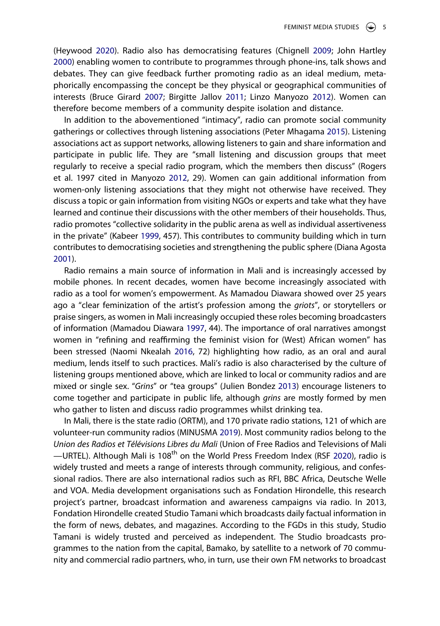<span id="page-5-4"></span>(Heywood [2020](#page-16-4)). Radio also has democratising features (Chignell [2009;](#page-15-14) John Hartley [2000\)](#page-15-15) enabling women to contribute to programmes through phone-ins, talk shows and debates. They can give feedback further promoting radio as an ideal medium, metaphorically encompassing the concept be they physical or geographical communities of interests (Bruce Girard [2007;](#page-15-16) Birgitte Jallov [2011;](#page-16-19) Linzo Manyozo [2012](#page-16-20)). Women can therefore become members of a community despite isolation and distance.

<span id="page-5-6"></span><span id="page-5-5"></span><span id="page-5-3"></span>In addition to the abovementioned "intimacy", radio can promote social community gatherings or collectives through listening associations (Peter Mhagama [2015](#page-16-21)). Listening associations act as support networks, allowing listeners to gain and share information and participate in public life. They are "small listening and discussion groups that meet regularly to receive a special radio program, which the members then discuss" (Rogers et al. 1997 cited in Manyozo [2012,](#page-16-20) 29). Women can gain additional information from women-only listening associations that they might not otherwise have received. They discuss a topic or gain information from visiting NGOs or experts and take what they have learned and continue their discussions with the other members of their households. Thus, radio promotes "collective solidarity in the public arena as well as individual assertiveness in the private" (Kabeer [1999](#page-16-3), 457). This contributes to community building which in turn contributes to democratising societies and strengthening the public sphere (Diana Agosta [2001\)](#page-15-17).

<span id="page-5-2"></span><span id="page-5-0"></span>Radio remains a main source of information in Mali and is increasingly accessed by mobile phones. In recent decades, women have become increasingly associated with radio as a tool for women's empowerment. As Mamadou Diawara showed over 25 years ago a "clear feminization of the artist's profession among the *griots*", or storytellers or praise singers, as women in Mali increasingly occupied these roles becoming broadcasters of information (Mamadou Diawara [1997](#page-15-18), 44). The importance of oral narratives amongst women in "refining and reaffirming the feminist vision for (West) African women" has been stressed (Naomi Nkealah [2016](#page-16-22), 72) highlighting how radio, as an oral and aural medium, lends itself to such practices. Mali's radio is also characterised by the culture of listening groups mentioned above, which are linked to local or community radios and are mixed or single sex. "*Grins*" or "tea groups" (Julien Bondez [2013\)](#page-15-19) encourage listeners to come together and participate in public life, although *grins* are mostly formed by men who gather to listen and discuss radio programmes whilst drinking tea.

<span id="page-5-9"></span><span id="page-5-8"></span><span id="page-5-7"></span><span id="page-5-1"></span>In Mali, there is the state radio (ORTM), and 170 private radio stations, 121 of which are volunteer-run community radios (MINUSMA [2019\)](#page-16-23). Most community radios belong to the *Union des Radios et Télévisions Libres du Mali* (Union of Free Radios and Televisions of Mali —URTEL). Although Mali is 108<sup>th</sup> on the World Press Freedom Index (RSF [2020](#page-16-24)), radio is widely trusted and meets a range of interests through community, religious, and confessional radios. There are also international radios such as RFI, BBC Africa, Deutsche Welle and VOA. Media development organisations such as Fondation Hirondelle, this research project's partner, broadcast information and awareness campaigns via radio. In 2013, Fondation Hirondelle created Studio Tamani which broadcasts daily factual information in the form of news, debates, and magazines. According to the FGDs in this study, Studio Tamani is widely trusted and perceived as independent. The Studio broadcasts programmes to the nation from the capital, Bamako, by satellite to a network of 70 community and commercial radio partners, who, in turn, use their own FM networks to broadcast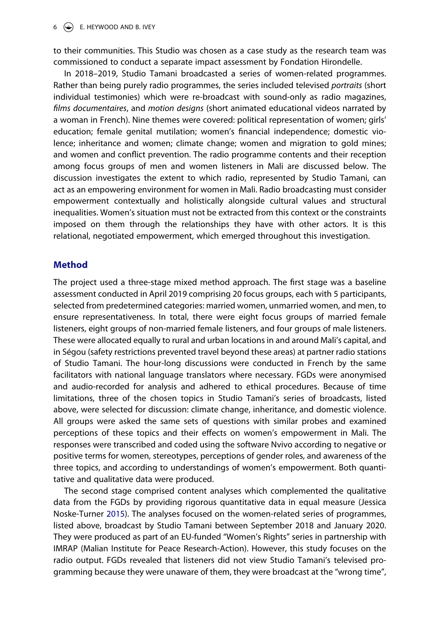### $6 \leftrightarrow$  E. HEYWOOD AND B. IVEY

to their communities. This Studio was chosen as a case study as the research team was commissioned to conduct a separate impact assessment by Fondation Hirondelle.

In 2018–2019, Studio Tamani broadcasted a series of women-related programmes. Rather than being purely radio programmes, the series included televised *portraits* (short individual testimonies) which were re-broadcast with sound-only as radio magazines, *films documentaires*, and *motion designs* (short animated educational videos narrated by a woman in French). Nine themes were covered: political representation of women; girls' education; female genital mutilation; women's financial independence; domestic violence; inheritance and women; climate change; women and migration to gold mines; and women and conflict prevention. The radio programme contents and their reception among focus groups of men and women listeners in Mali are discussed below. The discussion investigates the extent to which radio, represented by Studio Tamani, can act as an empowering environment for women in Mali. Radio broadcasting must consider empowerment contextually and holistically alongside cultural values and structural inequalities. Women's situation must not be extracted from this context or the constraints imposed on them through the relationships they have with other actors. It is this relational, negotiated empowerment, which emerged throughout this investigation.

## **Method**

The project used a three-stage mixed method approach. The first stage was a baseline assessment conducted in April 2019 comprising 20 focus groups, each with 5 participants, selected from predetermined categories: married women, unmarried women, and men, to ensure representativeness. In total, there were eight focus groups of married female listeners, eight groups of non-married female listeners, and four groups of male listeners. These were allocated equally to rural and urban locations in and around Mali's capital, and in Ségou (safety restrictions prevented travel beyond these areas) at partner radio stations of Studio Tamani. The hour-long discussions were conducted in French by the same facilitators with national language translators where necessary. FGDs were anonymised and audio-recorded for analysis and adhered to ethical procedures. Because of time limitations, three of the chosen topics in Studio Tamani's series of broadcasts, listed above, were selected for discussion: climate change, inheritance, and domestic violence. All groups were asked the same sets of questions with similar probes and examined perceptions of these topics and their effects on women's empowerment in Mali. The responses were transcribed and coded using the software Nvivo according to negative or positive terms for women, stereotypes, perceptions of gender roles, and awareness of the three topics, and according to understandings of women's empowerment. Both quantitative and qualitative data were produced.

<span id="page-6-0"></span>The second stage comprised content analyses which complemented the qualitative data from the FGDs by providing rigorous quantitative data in equal measure (Jessica Noske-Turner [2015\)](#page-16-25). The analyses focused on the women-related series of programmes, listed above, broadcast by Studio Tamani between September 2018 and January 2020. They were produced as part of an EU-funded "Women's Rights" series in partnership with IMRAP (Malian Institute for Peace Research-Action). However, this study focuses on the radio output. FGDs revealed that listeners did not view Studio Tamani's televised programming because they were unaware of them, they were broadcast at the "wrong time",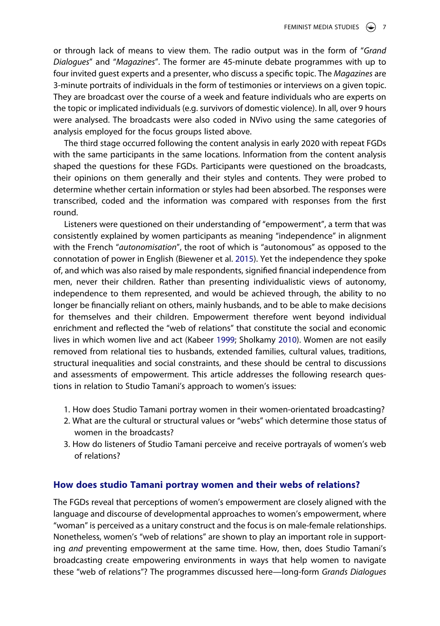or through lack of means to view them. The radio output was in the form of "*Grand Dialogues*" and "*Magazines*". The former are 45-minute debate programmes with up to four invited guest experts and a presenter, who discuss a specific topic. The *Magazines* are 3-minute portraits of individuals in the form of testimonies or interviews on a given topic. They are broadcast over the course of a week and feature individuals who are experts on the topic or implicated individuals (e.g. survivors of domestic violence). In all, over 9 hours were analysed. The broadcasts were also coded in NVivo using the same categories of analysis employed for the focus groups listed above.

The third stage occurred following the content analysis in early 2020 with repeat FGDs with the same participants in the same locations. Information from the content analysis shaped the questions for these FGDs. Participants were questioned on the broadcasts, their opinions on them generally and their styles and contents. They were probed to determine whether certain information or styles had been absorbed. The responses were transcribed, coded and the information was compared with responses from the first round.

Listeners were questioned on their understanding of "empowerment", a term that was consistently explained by women participants as meaning "independence" in alignment with the French "*autonomisation*", the root of which is "autonomous" as opposed to the connotation of power in English (Biewener et al. [2015](#page-15-3)). Yet the independence they spoke of, and which was also raised by male respondents, signified financial independence from men, never their children. Rather than presenting individualistic views of autonomy, independence to them represented, and would be achieved through, the ability to no longer be financially reliant on others, mainly husbands, and to be able to make decisions for themselves and their children. Empowerment therefore went beyond individual enrichment and reflected the "web of relations" that constitute the social and economic lives in which women live and act (Kabeer [1999](#page-16-3); Sholkamy [2010\)](#page-16-2). Women are not easily removed from relational ties to husbands, extended families, cultural values, traditions, structural inequalities and social constraints, and these should be central to discussions and assessments of empowerment. This article addresses the following research questions in relation to Studio Tamani's approach to women's issues:

- 1. How does Studio Tamani portray women in their women-orientated broadcasting?
- 2. What are the cultural or structural values or "webs" which determine those status of women in the broadcasts?
- 3. How do listeners of Studio Tamani perceive and receive portrayals of women's web of relations?

## **How does studio Tamani portray women and their webs of relations?**

The FGDs reveal that perceptions of women's empowerment are closely aligned with the language and discourse of developmental approaches to women's empowerment, where "woman" is perceived as a unitary construct and the focus is on male-female relationships. Nonetheless, women's "web of relations" are shown to play an important role in supporting *and* preventing empowerment at the same time. How, then, does Studio Tamani's broadcasting create empowering environments in ways that help women to navigate these "web of relations"? The programmes discussed here—long-form *Grands Dialogues*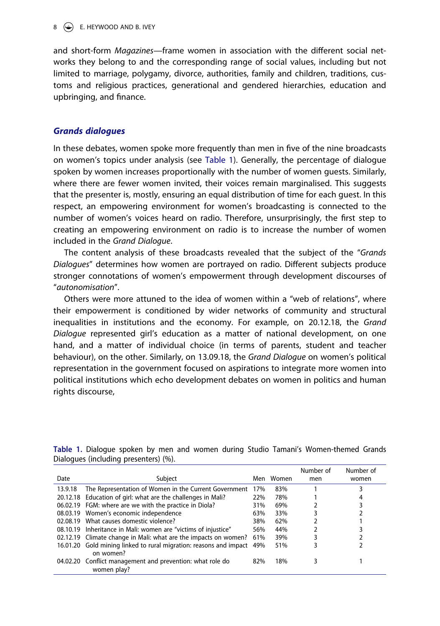### $8 \quad (*)$  E. HEYWOOD AND B. IVEY

and short-form *Magazines*—frame women in association with the different social networks they belong to and the corresponding range of social values, including but not limited to marriage, polygamy, divorce, authorities, family and children, traditions, customs and religious practices, generational and gendered hierarchies, education and upbringing, and finance.

## *Grands dialogues*

In these debates, women spoke more frequently than men in five of the nine broadcasts on women's topics under analysis (see [Table 1\)](#page-8-0). Generally, the percentage of dialogue spoken by women increases proportionally with the number of women guests. Similarly, where there are fewer women invited, their voices remain marginalised. This suggests that the presenter is, mostly, ensuring an equal distribution of time for each guest. In this respect, an empowering environment for women's broadcasting is connected to the number of women's voices heard on radio. Therefore, unsurprisingly, the first step to creating an empowering environment on radio is to increase the number of women included in the *Grand Dialogue*.

The content analysis of these broadcasts revealed that the subject of the "*Grands Dialogues*" determines how women are portrayed on radio. Different subjects produce stronger connotations of women's empowerment through development discourses of "*autonomisation*".

Others were more attuned to the idea of women within a "web of relations", where their empowerment is conditioned by wider networks of community and structural inequalities in institutions and the economy. For example, on 20.12.18, the *Grand Dialogue* represented girl's education as a matter of national development, on one hand, and a matter of individual choice (in terms of parents, student and teacher behaviour), on the other. Similarly, on 13.09.18, the *Grand Dialogue* on women's political representation in the government focused on aspirations to integrate more women into political institutions which echo development debates on women in politics and human rights discourse,

| Date    | Subject                                                                         | Men | Women | Number of<br>men | Number of<br>women |
|---------|---------------------------------------------------------------------------------|-----|-------|------------------|--------------------|
| 13.9.18 | The Representation of Women in the Current Government                           | 17% | 83%   |                  |                    |
|         | 20.12.18 Education of girl: what are the challenges in Mali?                    | 22% | 78%   |                  |                    |
|         | 06.02.19 FGM: where are we with the practice in Diola?                          | 31% | 69%   |                  |                    |
|         | 08.03.19 Women's economic independence                                          | 63% | 33%   |                  |                    |
|         | 02.08.19 What causes domestic violence?                                         | 38% | 62%   |                  |                    |
|         | 08.10.19 Inheritance in Mali: women are "victims of injustice"                  | 56% | 44%   |                  |                    |
|         | 02.12.19 Climate change in Mali: what are the impacts on women?                 | 61% | 39%   |                  |                    |
|         | 16.01.20 Gold mining linked to rural migration: reasons and impact<br>on women? | 49% | 51%   |                  |                    |
|         | 04.02.20 Conflict management and prevention: what role do<br>women play?        | 82% | 18%   |                  |                    |

<span id="page-8-0"></span>**Table 1.** Dialogue spoken by men and women during Studio Tamani's Women-themed Grands Dialogues (including presenters) (%).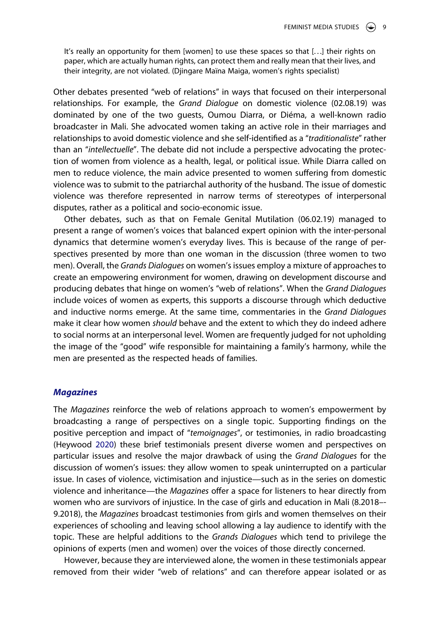It's really an opportunity for them [women] to use these spaces so that [...] their rights on paper, which are actually human rights, can protect them and really mean that their lives, and their integrity, are not violated. (Djingare Maïna Maiga, women's rights specialist)

Other debates presented "web of relations" in ways that focused on their interpersonal relationships. For example, the *Grand Dialogue* on domestic violence (02.08.19) was dominated by one of the two guests, Oumou Diarra, or Diéma, a well-known radio broadcaster in Mali. She advocated women taking an active role in their marriages and relationships to avoid domestic violence and she self-identified as a "*traditionaliste*" rather than an "*intellectuelle*". The debate did not include a perspective advocating the protection of women from violence as a health, legal, or political issue. While Diarra called on men to reduce violence, the main advice presented to women suffering from domestic violence was to submit to the patriarchal authority of the husband. The issue of domestic violence was therefore represented in narrow terms of stereotypes of interpersonal disputes, rather as a political and socio-economic issue.

Other debates, such as that on Female Genital Mutilation (06.02.19) managed to present a range of women's voices that balanced expert opinion with the inter-personal dynamics that determine women's everyday lives. This is because of the range of perspectives presented by more than one woman in the discussion (three women to two men). Overall, the *Grands Dialogues* on women's issues employ a mixture of approaches to create an empowering environment for women, drawing on development discourse and producing debates that hinge on women's "web of relations". When the *Grand Dialogues*  include voices of women as experts, this supports a discourse through which deductive and inductive norms emerge. At the same time, commentaries in the *Grand Dialogues*  make it clear how women *should* behave and the extent to which they do indeed adhere to social norms at an interpersonal level. Women are frequently judged for not upholding the image of the "good" wife responsible for maintaining a family's harmony, while the men are presented as the respected heads of families.

#### *Magazines*

The *Magazines* reinforce the web of relations approach to women's empowerment by broadcasting a range of perspectives on a single topic. Supporting findings on the positive perception and impact of "*temoignages*", or testimonies, in radio broadcasting (Heywood [2020\)](#page-16-4) these brief testimonials present diverse women and perspectives on particular issues and resolve the major drawback of using the *Grand Dialogues* for the discussion of women's issues: they allow women to speak uninterrupted on a particular issue. In cases of violence, victimisation and injustice—such as in the series on domestic violence and inheritance—the *Magazines* offer a space for listeners to hear directly from women who are survivors of injustice. In the case of girls and education in Mali (8.2018–- 9.2018), the *Magazines* broadcast testimonies from girls and women themselves on their experiences of schooling and leaving school allowing a lay audience to identify with the topic. These are helpful additions to the *Grands Dialogues* which tend to privilege the opinions of experts (men and women) over the voices of those directly concerned.

However, because they are interviewed alone, the women in these testimonials appear removed from their wider "web of relations" and can therefore appear isolated or as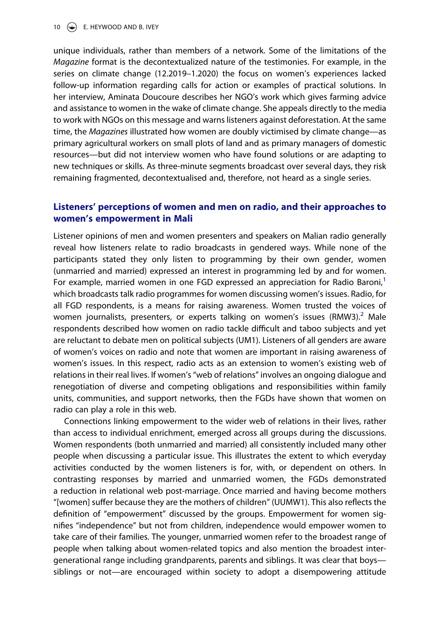#### 10  $\left(\rightarrow\right)$  E. HEYWOOD AND B. IVEY

unique individuals, rather than members of a network. Some of the limitations of the *Magazine* format is the decontextualized nature of the testimonies. For example, in the series on climate change (12.2019–1.2020) the focus on women's experiences lacked follow-up information regarding calls for action or examples of practical solutions. In her interview, Aminata Doucoure describes her NGO's work which gives farming advice and assistance to women in the wake of climate change. She appeals directly to the media to work with NGOs on this message and warns listeners against deforestation. At the same time, the *Magazines* illustrated how women are doubly victimised by climate change—as primary agricultural workers on small plots of land and as primary managers of domestic resources—but did not interview women who have found solutions or are adapting to new techniques or skills. As three-minute segments broadcast over several days, they risk remaining fragmented, decontextualised and, therefore, not heard as a single series.

## **Listeners' perceptions of women and men on radio, and their approaches to women's empowerment in Mali**

Listener opinions of men and women presenters and speakers on Malian radio generally reveal how listeners relate to radio broadcasts in gendered ways. While none of the participants stated they only listen to programming by their own gender, women (unmarried and married) expressed an interest in programming led by and for women. For example, married women in one FGD expressed an appreciation for Radio Baroni, $<sup>1</sup>$  $<sup>1</sup>$  $<sup>1</sup>$ </sup> which broadcasts talk radio programmes for women discussing women's issues. Radio, for all FGD respondents, is a means for raising awareness. Women trusted the voices of women journalists, presenters, or experts talking on women's issues (RMW3).<sup>2</sup> Male respondents described how women on radio tackle difficult and taboo subjects and yet are reluctant to debate men on political subjects (UM1). Listeners of all genders are aware of women's voices on radio and note that women are important in raising awareness of women's issues. In this respect, radio acts as an extension to women's existing web of relations in their real lives. If women's "web of relations" involves an ongoing dialogue and renegotiation of diverse and competing obligations and responsibilities within family units, communities, and support networks, then the FGDs have shown that women on radio can play a role in this web.

Connections linking empowerment to the wider web of relations in their lives, rather than access to individual enrichment, emerged across all groups during the discussions. Women respondents (both unmarried and married) all consistently included many other people when discussing a particular issue. This illustrates the extent to which everyday activities conducted by the women listeners is for, with, or dependent on others. In contrasting responses by married and unmarried women, the FGDs demonstrated a reduction in relational web post-marriage. Once married and having become mothers "[women] suffer because they are the mothers of children" (UUMW1). This also reflects the definition of "empowerment" discussed by the groups. Empowerment for women signifies "independence" but not from children, independence would empower women to take care of their families. The younger, unmarried women refer to the broadest range of people when talking about women-related topics and also mention the broadest intergenerational range including grandparents, parents and siblings. It was clear that boys siblings or not—are encouraged within society to adopt a disempowering attitude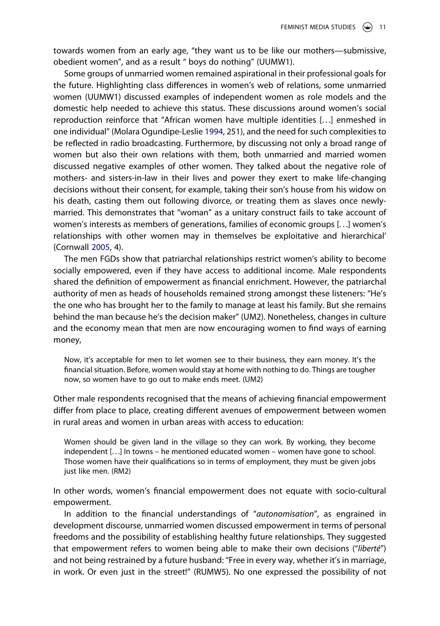towards women from an early age, "they want us to be like our mothers—submissive, obedient women", and as a result " boys do nothing" (UUMW1).

<span id="page-11-0"></span>Some groups of unmarried women remained aspirational in their professional goals for the future. Highlighting class differences in women's web of relations, some unmarried women (UUMW1) discussed examples of independent women as role models and the domestic help needed to achieve this status. These discussions around women's social reproduction reinforce that "African women have multiple identities [. . .] enmeshed in one individual" (Molara Ogundipe-Leslie [1994](#page-16-26), 251), and the need for such complexities to be reflected in radio broadcasting. Furthermore, by discussing not only a broad range of women but also their own relations with them, both unmarried and married women discussed negative examples of other women. They talked about the negative role of mothers- and sisters-in-law in their lives and power they exert to make life-changing decisions without their consent, for example, taking their son's house from his widow on his death, casting them out following divorce, or treating them as slaves once newlymarried. This demonstrates that "woman" as a unitary construct fails to take account of women's interests as members of generations, families of economic groups [. . .] women's relationships with other women may in themselves be exploitative and hierarchical' (Cornwall [2005](#page-15-1), 4).

The men FGDs show that patriarchal relationships restrict women's ability to become socially empowered, even if they have access to additional income. Male respondents shared the definition of empowerment as financial enrichment. However, the patriarchal authority of men as heads of households remained strong amongst these listeners: "He's the one who has brought her to the family to manage at least his family. But she remains behind the man because he's the decision maker" (UM2). Nonetheless, changes in culture and the economy mean that men are now encouraging women to find ways of earning money,

Now, it's acceptable for men to let women see to their business, they earn money. It's the financial situation. Before, women would stay at home with nothing to do. Things are tougher now, so women have to go out to make ends meet. (UM2)

Other male respondents recognised that the means of achieving financial empowerment differ from place to place, creating different avenues of empowerment between women in rural areas and women in urban areas with access to education:

Women should be given land in the village so they can work. By working, they become independent [...] In towns – he mentioned educated women – women have gone to school. Those women have their qualifications so in terms of employment, they must be given jobs just like men. (RM2)

In other words, women's financial empowerment does not equate with socio-cultural empowerment.

In addition to the financial understandings of "*autonomisation*", as engrained in development discourse, unmarried women discussed empowerment in terms of personal freedoms and the possibility of establishing healthy future relationships. They suggested that empowerment refers to women being able to make their own decisions ("*liberté*") and not being restrained by a future husband: "Free in every way, whether it's in marriage, in work. Or even just in the street!" (RUMW5). No one expressed the possibility of not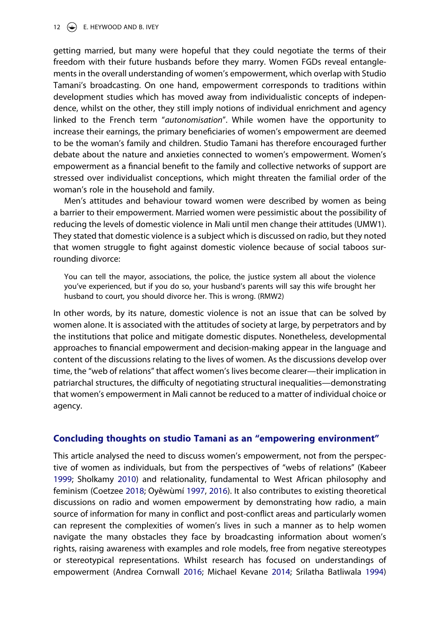### 12  $\left(\rightarrow\right)$  E. HEYWOOD AND B. IVEY

getting married, but many were hopeful that they could negotiate the terms of their freedom with their future husbands before they marry. Women FGDs reveal entanglements in the overall understanding of women's empowerment, which overlap with Studio Tamani's broadcasting. On one hand, empowerment corresponds to traditions within development studies which has moved away from individualistic concepts of independence, whilst on the other, they still imply notions of individual enrichment and agency linked to the French term "*autonomisation*". While women have the opportunity to increase their earnings, the primary beneficiaries of women's empowerment are deemed to be the woman's family and children. Studio Tamani has therefore encouraged further debate about the nature and anxieties connected to women's empowerment. Women's empowerment as a financial benefit to the family and collective networks of support are stressed over individualist conceptions, which might threaten the familial order of the woman's role in the household and family.

Men's attitudes and behaviour toward women were described by women as being a barrier to their empowerment. Married women were pessimistic about the possibility of reducing the levels of domestic violence in Mali until men change their attitudes (UMW1). They stated that domestic violence is a subject which is discussed on radio, but they noted that women struggle to fight against domestic violence because of social taboos surrounding divorce:

You can tell the mayor, associations, the police, the justice system all about the violence you've experienced, but if you do so, your husband's parents will say this wife brought her husband to court, you should divorce her. This is wrong. (RMW2)

In other words, by its nature, domestic violence is not an issue that can be solved by women alone. It is associated with the attitudes of society at large, by perpetrators and by the institutions that police and mitigate domestic disputes. Nonetheless, developmental approaches to financial empowerment and decision-making appear in the language and content of the discussions relating to the lives of women. As the discussions develop over time, the "web of relations" that affect women's lives become clearer—their implication in patriarchal structures, the difficulty of negotiating structural inequalities—demonstrating that women's empowerment in Mali cannot be reduced to a matter of individual choice or agency.

## **Concluding thoughts on studio Tamani as an "empowering environment"**

<span id="page-12-0"></span>This article analysed the need to discuss women's empowerment, not from the perspective of women as individuals, but from the perspectives of "webs of relations" (Kabeer [1999;](#page-16-3) Sholkamy [2010\)](#page-16-2) and relationality, fundamental to West African philosophy and feminism (Coetzee [2018;](#page-15-4) Oyĕwùmí [1997,](#page-16-8) [2016](#page-16-9)). It also contributes to existing theoretical discussions on radio and women empowerment by demonstrating how radio, a main source of information for many in conflict and post-conflict areas and particularly women can represent the complexities of women's lives in such a manner as to help women navigate the many obstacles they face by broadcasting information about women's rights, raising awareness with examples and role models, free from negative stereotypes or stereotypical representations. Whilst research has focused on understandings of empowerment (Andrea Cornwall [2016](#page-15-20); Michael Kevane [2014](#page-16-27); Srilatha Batliwala [1994](#page-15-21))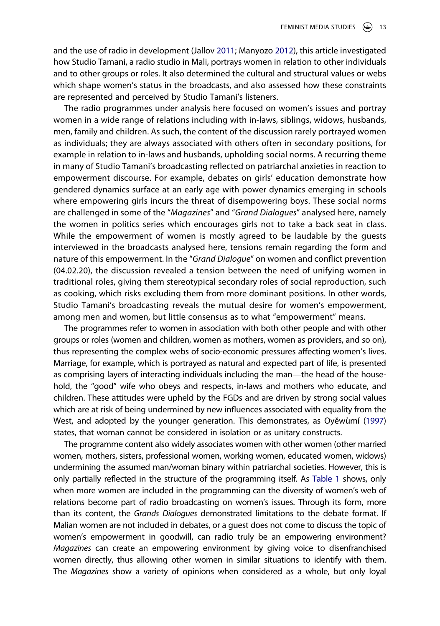and the use of radio in development (Jallov [2011;](#page-16-19) Manyozo [2012](#page-16-20)), this article investigated how Studio Tamani, a radio studio in Mali, portrays women in relation to other individuals and to other groups or roles. It also determined the cultural and structural values or webs which shape women's status in the broadcasts, and also assessed how these constraints are represented and perceived by Studio Tamani's listeners.

The radio programmes under analysis here focused on women's issues and portray women in a wide range of relations including with in-laws, siblings, widows, husbands, men, family and children. As such, the content of the discussion rarely portrayed women as individuals; they are always associated with others often in secondary positions, for example in relation to in-laws and husbands, upholding social norms. A recurring theme in many of Studio Tamani's broadcasting reflected on patriarchal anxieties in reaction to empowerment discourse. For example, debates on girls' education demonstrate how gendered dynamics surface at an early age with power dynamics emerging in schools where empowering girls incurs the threat of disempowering boys. These social norms are challenged in some of the "*Magazines*" and "*Grand Dialogues*" analysed here, namely the women in politics series which encourages girls not to take a back seat in class. While the empowerment of women is mostly agreed to be laudable by the guests interviewed in the broadcasts analysed here, tensions remain regarding the form and nature of this empowerment. In the "*Grand Dialogue*" on women and conflict prevention (04.02.20), the discussion revealed a tension between the need of unifying women in traditional roles, giving them stereotypical secondary roles of social reproduction, such as cooking, which risks excluding them from more dominant positions. In other words, Studio Tamani's broadcasting reveals the mutual desire for women's empowerment, among men and women, but little consensus as to what "empowerment" means.

The programmes refer to women in association with both other people and with other groups or roles (women and children, women as mothers, women as providers, and so on), thus representing the complex webs of socio-economic pressures affecting women's lives. Marriage, for example, which is portrayed as natural and expected part of life, is presented as comprising layers of interacting individuals including the man—the head of the household, the "good" wife who obeys and respects, in-laws and mothers who educate, and children. These attitudes were upheld by the FGDs and are driven by strong social values which are at risk of being undermined by new influences associated with equality from the West, and adopted by the younger generation. This demonstrates, as Oyĕwùmí [\(1997](#page-16-8)) states, that woman cannot be considered in isolation or as unitary constructs.

The programme content also widely associates women with other women (other married women, mothers, sisters, professional women, working women, educated women, widows) undermining the assumed man/woman binary within patriarchal societies. However, this is only partially reflected in the structure of the programming itself. As [Table 1](#page-8-0) shows, only when more women are included in the programming can the diversity of women's web of relations become part of radio broadcasting on women's issues. Through its form, more than its content, the *Grands Dialogues* demonstrated limitations to the debate format. If Malian women are not included in debates, or a guest does not come to discuss the topic of women's empowerment in goodwill, can radio truly be an empowering environment? *Magazines* can create an empowering environment by giving voice to disenfranchised women directly, thus allowing other women in similar situations to identify with them. The *Magazines* show a variety of opinions when considered as a whole, but only loyal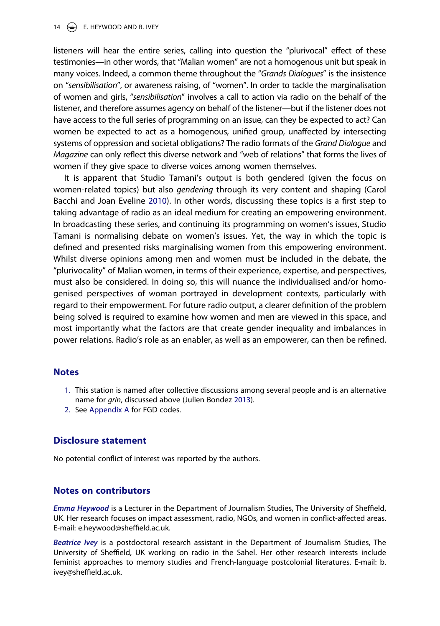#### 14  $\left(\frac{1}{2}\right)$  E. HEYWOOD AND B. IVEY

listeners will hear the entire series, calling into question the "plurivocal" effect of these testimonies—in other words, that "Malian women" are not a homogenous unit but speak in many voices. Indeed, a common theme throughout the "*Grands Dialogues*" is the insistence on "*sensibilisation*", or awareness raising, of "women". In order to tackle the marginalisation of women and girls, "*sensibilisation*" involves a call to action via radio on the behalf of the listener, and therefore assumes agency on behalf of the listener—but if the listener does not have access to the full series of programming on an issue, can they be expected to act? Can women be expected to act as a homogenous, unified group, unaffected by intersecting systems of oppression and societal obligations? The radio formats of the *Grand Dialogue* and *Magazine* can only reflect this diverse network and "web of relations" that forms the lives of women if they give space to diverse voices among women themselves.

<span id="page-14-2"></span>It is apparent that Studio Tamani's output is both gendered (given the focus on women-related topics) but also *gendering* through its very content and shaping (Carol Bacchi and Joan Eveline [2010\)](#page-15-22). In other words, discussing these topics is a first step to taking advantage of radio as an ideal medium for creating an empowering environment. In broadcasting these series, and continuing its programming on women's issues, Studio Tamani is normalising debate on women's issues. Yet, the way in which the topic is defined and presented risks marginalising women from this empowering environment. Whilst diverse opinions among men and women must be included in the debate, the "plurivocality" of Malian women, in terms of their experience, expertise, and perspectives, must also be considered. In doing so, this will nuance the individualised and/or homogenised perspectives of woman portrayed in development contexts, particularly with regard to their empowerment. For future radio output, a clearer definition of the problem being solved is required to examine how women and men are viewed in this space, and most importantly what the factors are that create gender inequality and imbalances in power relations. Radio's role as an enabler, as well as an empowerer, can then be refined.

## **Notes**

- <span id="page-14-0"></span>1. This station is named after collective discussions among several people and is an alternative name for *grin*, discussed above (Julien Bondez [2013](#page-15-19)).
- <span id="page-14-1"></span>2. See [Appendix A](#page-17-1) for FGD codes.

## **Disclosure statement**

No potential conflict of interest was reported by the authors.

## **Notes on contributors**

*Emma Heywood* is a Lecturer in the Department of Journalism Studies, The University of Sheffield, UK. Her research focuses on impact assessment, radio, NGOs, and women in conflict-affected areas. E-mail: e.heywood@sheffield.ac.uk.

*Beatrice Ivey* is a postdoctoral research assistant in the Department of Journalism Studies, The University of Sheffield, UK working on radio in the Sahel. Her other research interests include feminist approaches to memory studies and French-language postcolonial literatures. E-mail: b. ivey@sheffield.ac.uk.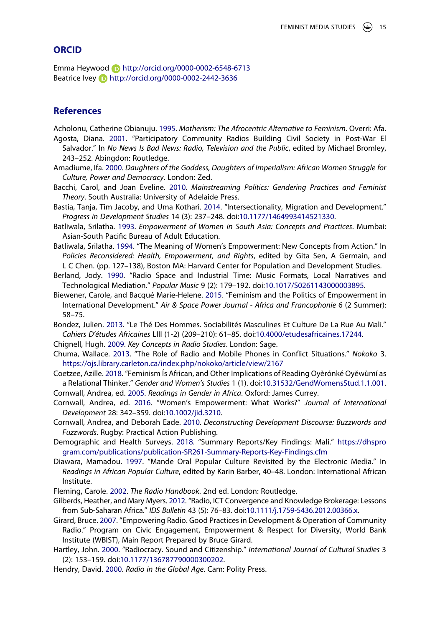## **ORCID**

Emma Heywood **b** http://orcid.org/0000-0002-6548-6713 Beatrice Ivey **b** http://orcid.org/0000-0002-2442-3636

## **References**

<span id="page-15-17"></span><span id="page-15-8"></span>Acholonu, Catherine Obianuju. [1995.](#page-4-0) *Motherism: The Afrocentric Alternative to Feminism*. Overri: Afa. Agosta, Diana. [2001.](#page-5-0) "Participatory Community Radios Building Civil Society in Post-War El

- Salvador." In *No News Is Bad News: Radio, Television and the Public*, edited by Michael Bromley, 243–252. Abingdon: Routledge.
- <span id="page-15-7"></span>Amadiume, Ifa. [2000.](#page-3-0) *Daughters of the Goddess, Daughters of Imperialism: African Women Struggle for Culture, Power and Democracy*. London: Zed.
- <span id="page-15-22"></span>Bacchi, Carol, and Joan Eveline. [2010](#page-14-2). *Mainstreaming Politics: Gendering Practices and Feminist Theory*. South Australia: University of Adelaide Press.
- <span id="page-15-6"></span>Bastia, Tanja, Tim Jacoby, and Uma Kothari. [2014](#page-3-1). "Intersectionality, Migration and Development." *Progress in Development Studies* 14 (3): 237–248. doi:[10.1177/1464993414521330.](https://doi.org/10.1177/1464993414521330)
- <span id="page-15-5"></span>Batliwala, Srilatha. [1993.](#page-3-2) *Empowerment of Women in South Asia: Concepts and Practices*. Mumbai: Asian-South Pacific Bureau of Adult Education.
- <span id="page-15-21"></span>Batliwala, Srilatha. [1994](#page-12-0). "The Meaning of Women's Empowerment: New Concepts from Action." In *Policies Reconsidered: Health, Empowerment, and Rights*, edited by Gita Sen, A Germain, and L C Chen. (pp. 127–138), Boston MA: Harvard Center for Population and Development Studies.
- <span id="page-15-13"></span>Berland, Jody. [1990.](#page-4-1) "Radio Space and Industrial Time: Music Formats, Local Narratives and Technological Mediation." *Popular Music* 9 (2): 179–192. doi:[10.1017/S0261143000003895](https://doi.org/10.1017/S0261143000003895).
- <span id="page-15-3"></span>Biewener, Carole, and Bacqué Marie-Helene. [2015.](#page-3-3) "Feminism and the Politics of Empowerment in International Development." *Air & Space Power Journal - Africa and Francophonie* 6 (2 Summer): 58–75.
- <span id="page-15-19"></span>Bondez, Julien. [2013.](#page-5-1) "Le Thé Des Hommes. Sociabilités Masculines Et Culture De La Rue Au Mali." *Cahiers D'études Africaines* LIII (1-2) (209–210): 61–85. doi:[10.4000/etudesafricaines.17244.](https://doi.org/10.4000/etudesafricaines.17244)
- <span id="page-15-14"></span>Chignell, Hugh. [2009](#page-4-2). *Key Concepts in Radio Studies*. London: Sage.
- <span id="page-15-11"></span>Chuma, Wallace. [2013](#page-4-3). "The Role of Radio and Mobile Phones in Conflict Situations." *Nokoko* 3. <https://ojs.library.carleton.ca/index.php/nokoko/article/view/2167>
- <span id="page-15-4"></span>Coetzee, Azille. [2018.](#page-3-4) "Feminism Ís African, and Other Implications of Reading Oyèrónké Oyĕwùmí as a Relational Thinker." *Gender and Women's Studies* 1 (1). doi:[10.31532/GendWomensStud.1.1.001](https://doi.org/10.31532/GendWomensStud.1.1.001).
- <span id="page-15-1"></span>Cornwall, Andrea, ed. [2005.](#page-2-0) *Readings in Gender in Africa*. Oxford: James Currey.
- <span id="page-15-20"></span>Cornwall, Andrea, ed. [2016](#page-12-0). "Women's Empowerment: What Works?" *Journal of International Development* 28: 342–359. doi:[10.1002/jid.3210.](https://doi.org/10.1002/jid.3210)
- <span id="page-15-2"></span>Cornwall, Andrea, and Deborah Eade. [2010](#page-2-1). *Deconstructing Development Discourse: Buzzwords and Fuzzwords*. Rugby: Practical Action Publishing.
- <span id="page-15-0"></span>Demographic and Health Surveys. [2018.](#page-1-0) "Summary Reports/Key Findings: Mali." [https://dhspro](https://dhsprogram.com/publications/publication-SR261-Summary-Reports-Key-Findings.cfm) [gram.com/publications/publication-SR261-Summary-Reports-Key-Findings.cfm](https://dhsprogram.com/publications/publication-SR261-Summary-Reports-Key-Findings.cfm)
- <span id="page-15-18"></span>Diawara, Mamadou. [1997.](#page-5-2) "Mande Oral Popular Culture Revisited by the Electronic Media." In *Readings in African Popular Culture*, edited by Karin Barber, 40–48. London: International African Institute.
- <span id="page-15-12"></span>Fleming, Carole. [2002.](#page-4-1) *The Radio Handbook*. 2nd ed. London: Routledge.
- <span id="page-15-10"></span>Gilberds, Heather, and Mary Myers. [2012.](#page-4-3) "Radio, ICT Convergence and Knowledge Brokerage: Lessons from Sub-Saharan Africa." *IDS Bulletin* 43 (5): 76–83. doi:[10.1111/j.1759-5436.2012.00366.x](https://doi.org/10.1111/j.1759-5436.2012.00366.x).
- <span id="page-15-16"></span>Girard, Bruce. [2007](#page-5-3). "Empowering Radio. Good Practices in Development & Operation of Community Radio." Program on Civic Engagement, Empowerment & Respect for Diversity, World Bank Institute (WBIST), Main Report Prepared by Bruce Girard.
- <span id="page-15-15"></span>Hartley, John. [2000.](#page-5-4) "Radiocracy. Sound and Citizenship." *International Journal of Cultural Studies* 3 (2): 153–159. doi:[10.1177/136787790000300202](https://doi.org/10.1177/136787790000300202).
- <span id="page-15-9"></span>Hendry, David. [2000.](#page-4-4) *Radio in the Global Age*. Cam: Polity Press.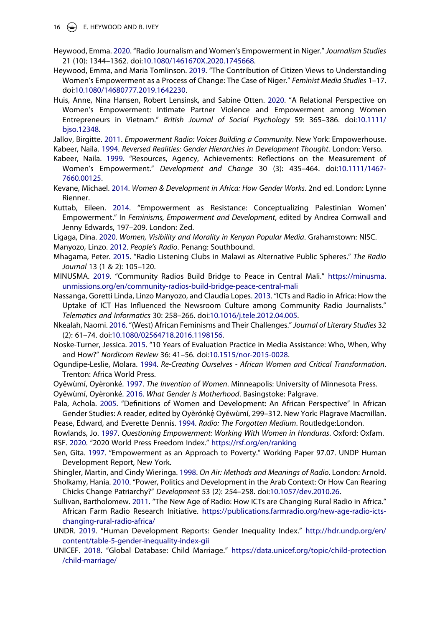16  $\left(\rightarrow\right)$  E. HEYWOOD AND B. IVEY

- <span id="page-16-4"></span>Heywood, Emma. [2020.](#page-2-2) "Radio Journalism and Women's Empowerment in Niger." *Journalism Studies*  21 (10): 1344–1362. doi:[10.1080/1461670X.2020.1745668.](https://doi.org/10.1080/1461670X.2020.1745668)
- <span id="page-16-6"></span>Heywood, Emma, and Maria Tomlinson. [2019](#page-2-3). "The Contribution of Citizen Views to Understanding Women's Empowerment as a Process of Change: The Case of Niger." *Feminist Media Studies* 1–17. doi:[10.1080/14680777.2019.1642230](https://doi.org/10.1080/14680777.2019.1642230).
- <span id="page-16-5"></span>Huis, Anne, Nina Hansen, Robert Lensinsk, and Sabine Otten. [2020.](#page-2-4) "A Relational Perspective on Women's Empowerment: Intimate Partner Violence and Empowerment among Women Entrepreneurs in Vietnam." *British Journal of Social Psychology* 59: 365–386. doi:[10.1111/](https://doi.org/10.1111/bjso.12348) [bjso.12348.](https://doi.org/10.1111/bjso.12348)

<span id="page-16-19"></span><span id="page-16-12"></span>Jallov, Birgitte. [2011.](#page-5-3) *Empowerment Radio: Voices Building a Community*. New York: Empowerhouse. Kabeer, Naila. [1994](#page-3-2). *Reversed Realities: Gender Hierarchies in Development Thought*. London: Verso.

- <span id="page-16-3"></span>Kabeer, Naila. [1999.](#page-2-5) "Resources, Agency, Achievements: Reflections on the Measurement of Women's Empowerment." *Development and Change* 30 (3): 435–464. doi:[10.1111/1467-](https://doi.org/10.1111/1467-7660.00125) [7660.00125](https://doi.org/10.1111/1467-7660.00125).
- <span id="page-16-27"></span>Kevane, Michael. [2014.](#page-12-0) *Women & Development in Africa: How Gender Works*. 2nd ed. London: Lynne Rienner.
- <span id="page-16-13"></span>Kuttab, Eileen. [2014.](#page-3-5) "Empowerment as Resistance: Conceptualizing Palestinian Women' Empowerment." In *Feminisms, Empowerment and Development*, edited by Andrea Cornwall and Jenny Edwards, 197–209. London: Zed.

<span id="page-16-7"></span>Ligaga, Dina. [2020.](#page-3-6) *Women, Visibility and Morality in Kenyan Popular Media*. Grahamstown: NISC.

<span id="page-16-20"></span>Manyozo, Linzo. [2012.](#page-5-5) *People's Radio*. Penang: Southbound.

- <span id="page-16-21"></span>Mhagama, Peter. [2015](#page-5-6). "Radio Listening Clubs in Malawi as Alternative Public Spheres." *The Radio Journal* 13 (1 & 2): 105–120.
- <span id="page-16-23"></span>MINUSMA. [2019](#page-5-7). "Community Radios Build Bridge to Peace in Central Mali." [https://minusma.](https://minusma.unmissions.org/en/community-radios-build-bridge-peace-central-mali) [unmissions.org/en/community-radios-build-bridge-peace-central-mali](https://minusma.unmissions.org/en/community-radios-build-bridge-peace-central-mali)
- <span id="page-16-16"></span>Nassanga, Goretti Linda, Linzo Manyozo, and Claudia Lopes. [2013.](#page-4-5) "ICTs and Radio in Africa: How the Uptake of ICT Has Influenced the Newsroom Culture among Community Radio Journalists." *Telematics and Informatics* 30: 258–266. doi:[10.1016/j.tele.2012.04.005](https://doi.org/10.1016/j.tele.2012.04.005).
- <span id="page-16-22"></span>Nkealah, Naomi. [2016](#page-5-8). "(West) African Feminisms and Their Challenges." *Journal of Literary Studies* 32 (2): 61–74. doi:[10.1080/02564718.2016.1198156.](https://doi.org/10.1080/02564718.2016.1198156)
- <span id="page-16-25"></span>Noske-Turner, Jessica. [2015](#page-6-0). "10 Years of Evaluation Practice in Media Assistance: Who, When, Why and How?" *Nordicom Review* 36: 41–56. doi:[10.1515/nor-2015-0028.](https://doi.org/10.1515/nor-2015-0028)
- <span id="page-16-26"></span>Ogundipe-Leslie, Molara. [1994.](#page-11-0) *Re-Creating Ourselves - African Women and Critical Transformation*. Trenton: Africa World Press.
- <span id="page-16-8"></span>Oyĕwùmí, Oyèronké. [1997.](#page-3-7) *The Invention of Women*. Minneapolis: University of Minnesota Press.

<span id="page-16-9"></span>Oyĕwùmí, Oyèronké. [2016.](#page-3-7) *What Gender Is Motherhood*. Basingstoke: Palgrave.

<span id="page-16-10"></span>Pala, Achola. [2005.](#page-3-8) "Definitions of Women and Development: An African Perspective" In African Gender Studies: A reader, edited by Oyèrónkẹ́ Oyěwùmí, 299–312. New York: Plagrave Macmillan. Pease, Edward, and Everette Dennis. [1994.](#page-4-6) *Radio: The Forgotten Medium*. Routledge:London.

<span id="page-16-24"></span><span id="page-16-17"></span><span id="page-16-14"></span>Rowlands, Jo. [1997](#page-4-7). *Questioning Empowerment: Working With Women in Honduras*. Oxford: Oxfam. RSF. [2020](#page-5-9). "2020 World Press Freedom Index." <https://rsf.org/en/ranking>

<span id="page-16-11"></span>Sen, Gita. [1997](#page-3-2). "Empowerment as an Approach to Poverty." Working Paper 97.07. UNDP Human Development Report, New York.

<span id="page-16-18"></span><span id="page-16-2"></span>Shingler, Martin, and Cindy Wieringa. [1998.](#page-4-8) *On Air: Methods and Meanings of Radio*. London: Arnold. Sholkamy, Hania. [2010.](#page-2-6) "Power, Politics and Development in the Arab Context: Or How Can Rearing Chicks Change Patriarchy?" *Development* 53 (2): 254–258. doi:[10.1057/dev.2010.26.](https://doi.org/10.1057/dev.2010.26)

- <span id="page-16-15"></span>Sullivan, Bartholomew. [2011.](#page-4-9) "The New Age of Radio: How ICTs are Changing Rural Radio in Africa." African Farm Radio Research Initiative. [https://publications.farmradio.org/new-age-radio-icts](https://publications.farmradio.org/new-age-radio-icts-changing-rural-radio-africa/)[changing-rural-radio-africa/](https://publications.farmradio.org/new-age-radio-icts-changing-rural-radio-africa/)
- <span id="page-16-0"></span>UNDR. [2019](#page-1-1). "Human Development Reports: Gender Inequality Index." [http://hdr.undp.org/en/](http://hdr.undp.org/en/content/table-5-gender-inequality-index-gii) [content/table-5-gender-inequality-index-gii](http://hdr.undp.org/en/content/table-5-gender-inequality-index-gii)
- <span id="page-16-1"></span>UNICEF. [2018.](#page-1-2) "Global Database: Child Marriage." [https://data.unicef.org/topic/child-protection](https://data.unicef.org/topic/child-protection/child-marriage/) [/child-marriage/](https://data.unicef.org/topic/child-protection/child-marriage/)